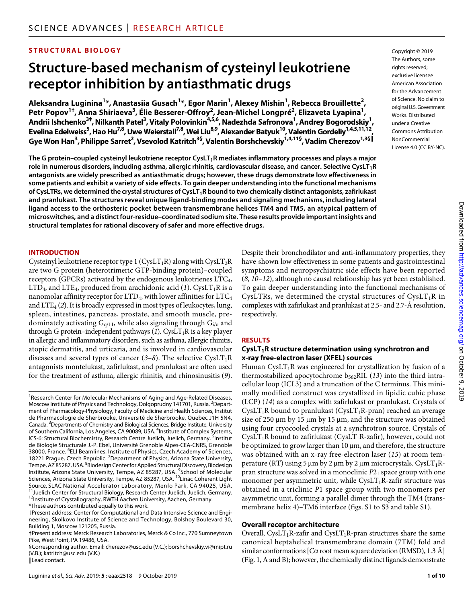# **STRUCTURAL BIOLOGY**

# **Structure-based mechanism of cysteinyl leukotriene receptor inhibition by antiasthmatic drugs**

**Aleksandra Luginina1 \*, Anastasiia Gusach1 \*, Egor Marin1 , Alexey Mishin1 , Rebecca Brouillette2 , Petr Popov1†, Anna Shiriaeva3 , Élie Besserer-Offroy2 , Jean-Michel Longpré2 , Elizaveta Lyapina1 , Andrii Ishchenko3‡, Nilkanth Patel3 , Vitaly Polovinkin4,5,6, Nadezhda Safronova1 , Andrey Bogorodskiy1 Evelina Edelweiss5 , Hao Hu7,8, Uwe Weierstall7,8, Wei Liu8,9, Alexander Batyuk10, Valentin Gordeliy1,4,5,11,12,**   $G$ ye Won Han $^3$ , Philippe Sarret $^2$ , Vsevolod Katritch $^{38}$ , Valentin Borshchevskiy $^{1,4,11\$ }, Vadim Cherezov $^{1,3\pm||}$ 

**The G protein–coupled cysteinyl leukotriene receptor CysLT1R mediates inflammatory processes and plays a major role in numerous disorders, including asthma, allergic rhinitis, cardiovascular disease, and cancer. Selective CysLT1R antagonists are widely prescribed as antiasthmatic drugs; however, these drugs demonstrate low effectiveness in some patients and exhibit a variety of side effects. To gain deeper understanding into the functional mechanisms of CysLTRs, we determined the crystal structures of CysLT1R bound to two chemically distinct antagonists, zafirlukast and pranlukast. The structures reveal unique ligand-binding modes and signaling mechanisms, including lateral ligand access to the orthosteric pocket between transmembrane helices TM4 and TM5, an atypical pattern of microswitches, and a distinct four-residue–coordinated sodium site. These results provide important insights and structural templates for rational discovery of safer and more effective drugs.**

#### **INTRODUCTION**

Cysteinyl leukotriene receptor type 1 (CysLT<sub>1</sub>R) along with CysLT<sub>2</sub>R are two G protein (heterotrimeric GTP-binding protein)–coupled receptors (GPCRs) activated by the endogenous leukotrienes LTC4,  $LTD_4$ , and  $LTE_4$ , produced from arachidonic acid (1). Cys $LT_1R$  is a nanomolar affinity receptor for  $LTD_4$ , with lower affinities for  $LTC_4$ and LTE4 (*2*). It is broadly expressed in most types of leukocytes, lung, spleen, intestines, pancreas, prostate, and smooth muscle, predominately activating  $G_{q/11}$ , while also signaling through  $G_{i/0}$  and through G protein–independent pathways  $(1)$ . CysLT<sub>1</sub>R is a key player in allergic and inflammatory disorders, such as asthma, allergic rhinitis, atopic dermatitis, and urticaria, and is involved in cardiovascular diseases and several types of cancer  $(3–8)$ . The selective CysLT<sub>1</sub>R antagonists montelukast, zafirlukast, and pranlukast are often used for the treatment of asthma, allergic rhinitis, and rhinosinusitis (*9*).

||Lead contact.

Copyright © 2019 The Authors, some rights reserved: exclusive licensee American Association for the Advancement of Science. No claim to original U.S.Government Works. Distributed under a Creative Commons Attribution NonCommercial License 4.0 (CC BY-NC).

**,** 

Despite their bronchodilator and anti-inflammatory properties, they have shown low effectiveness in some patients and gastrointestinal symptoms and neuropsychiatric side effects have been reported (*8*, *10*–*12*), although no causal relationship has yet been established. To gain deeper understanding into the functional mechanisms of CysLTRs, we determined the crystal structures of  $CysLT_1R$  in complexes with zafirlukast and pranlukast at 2.5- and 2.7-Å resolution, respectively.

#### **RESULTS**

#### CysLT<sub>1</sub>R structure determination using synchrotron and **x-ray free-electron laser (XFEL) sources**

Human CysLT<sub>1</sub>R was engineered for crystallization by fusion of a thermostabilized apocytochrome  $b_{562}$ RIL (13) into the third intracellular loop (ICL3) and a truncation of the C terminus. This minimally modified construct was crystallized in lipidic cubic phase (LCP) (*14*) as a complex with zafirlukast or pranlukast. Crystals of CysLT<sub>1</sub>R bound to pranlukast (CysLT<sub>1</sub>R-pran) reached an average size of 250  $\mu$ m by 15  $\mu$ m by 15  $\mu$ m, and the structure was obtained using four cryocooled crystals at a synchrotron source. Crystals of  $CysLT<sub>1</sub>R$  bound to zafirlukast ( $CysLT<sub>1</sub>R-zafir$ ), however, could not be optimized to grow larger than  $10 \mu m$ , and therefore, the structure was obtained with an x-ray free-electron laser (*15*) at room temperature (RT) using 5  $\mu$ m by 2  $\mu$ m by 2  $\mu$ m microcrystals. CysLT<sub>1</sub>Rpran structure was solved in a monoclinic *P*21 space group with one monomer per asymmetric unit, while  $CysLT_1R$ -zafir structure was obtained in a triclinic *P*1 space group with two monomers per asymmetric unit, forming a parallel dimer through the TM4 (transmembrane helix 4)–TM6 interface (figs. S1 to S3 and table S1).

#### **Overall receptor architecture**

Overall, CysLT<sub>1</sub>R-zafir and CysLT<sub>1</sub>R-pran structures share the same canonical heptahelical transmembrane domain (7TM) fold and similar conformations [C $\alpha$  root mean square deviation (RMSD), 1.3 Å] (Fig. 1, A and B); however, the chemically distinct ligands demonstrate

<sup>&</sup>lt;sup>1</sup> Research Center for Molecular Mechanisms of Aging and Age-Related Diseases, Moscow Institute of Physics and Technology, Dolgoprudny 141701, Russia. <sup>2</sup>Department of Pharmacology-Physiology, Faculty of Medicine and Health Sciences, Institut de Pharmacologie de Sherbrooke, Université de Sherbrooke, Quebec J1H 5N4, Canada. <sup>3</sup>Departments of Chemistry and Biological Sciences, Bridge Institute, University of Southern California, Los Angeles, CA 90089, USA. <sup>4</sup>Institute of Complex Systems, ICS-6: Structural Biochemistry, Research Centre Juelich, Juelich, Germany. <sup>5</sup>Institut de Biologie Structurale J.-P. Ebel, Université Grenoble Alpes-CEA-CNRS, Grenoble 38000, France. <sup>6</sup>ELI Beamlines, Institute of Physics, Czech Academy of Sciences, 18221 Prague, Czech Republic. <sup>7</sup> Department of Physics, Arizona State University, Tempe, AZ 85287, USA. <sup>8</sup>Biodesign Center for Applied Structural Discovery, Biodesign Institute, Arizona State University, Tempe, AZ 85287, USA. <sup>9</sup> School of Molecular Sciences, Arizona State University, Tempe, AZ 85287, USA. <sup>10</sup>Linac Coherent Light Source, SLAC National Accelerator Laboratory, Menlo Park, CA 94025, USA. 11<br><sup>11</sup>Juelich Center for Structural Biology, Research Center Juelich, Juelich, Germany.<br><sup>12</sup>Institute of Crystallography, RWTH Aachen University, Aachen, Germany.

<sup>\*</sup>These authors contributed equally to this work.

<sup>†</sup>Present address: Center for Computational and Data Intensive Science and Engineering, Skolkovo Institute of Science and Technology, Bolshoy Boulevard 30, Building 1, Moscow 121205, Russia.

<sup>‡</sup>Present address: Merck Research Laboratories, Merck & Co Inc., 770 Sumneytown Pike, West Point, PA 19486, USA.

<sup>§</sup>Corresponding author. Email: cherezov@usc.edu (V.C.); borshchevskiy.vi@mipt.ru (V.B.); katritch@usc.edu (V.K.)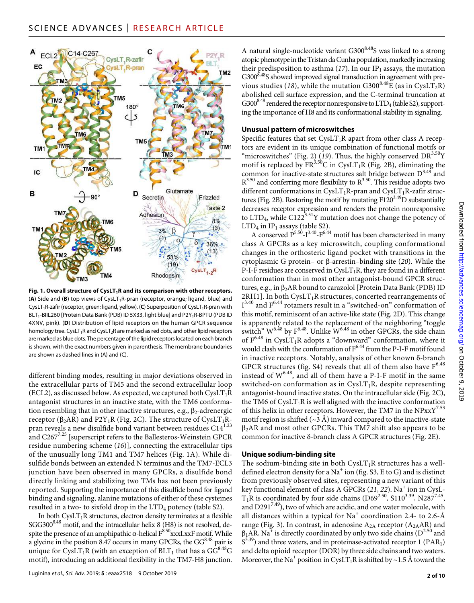

Fig. 1. Overall structure of CysLT<sub>1</sub>R and its comparison with other receptors. (A) Side and (B) top views of CysLT<sub>1</sub>R-pran (receptor, orange; ligand, blue) and CysLT<sub>1</sub>R-zafir (receptor, green; ligand, yellow). (C) Superposition of CysLT<sub>1</sub>R-pran with BLT<sub>1</sub>-BIIL260 [Protein Data Bank (PDB) ID 5X33, light blue] and P2Y<sub>1</sub>R-BPTU (PDB ID 4XNV, pink). (**D**) Distribution of lipid receptors on the human GPCR sequence homology tree. CysLT<sub>1</sub>R and CysLT<sub>2</sub>R are marked as red dots, and other lipid receptors are marked as blue dots. The percentage of the lipid receptors located on each branch is shown, with the exact numbers given in parenthesis. The membrane boundaries are shown as dashed lines in (A) and (C).

different binding modes, resulting in major deviations observed in the extracellular parts of TM5 and the second extracellular loop (ECL2), as discussed below. As expected, we captured both  $CysLT_1R$ antagonist structures in an inactive state, with the TM6 conformation resembling that in other inactive structures, e.g.,  $\beta_2$ -adrenergic receptor ( $\beta_2$ AR) and P2Y<sub>1</sub>R (Fig. 2C). The structure of CysLT<sub>1</sub>Rpran reveals a new disulfide bond variant between residues  $C14^{1.23}$ and C2677.25 [superscript refers to the Ballesteros-Weinstein GPCR residue numbering scheme (*16*)], connecting the extracellular tips of the unusually long TM1 and TM7 helices (Fig. 1A). While disulfide bonds between an extended N terminus and the TM7-ECL3 junction have been observed in many GPCRs, a disulfide bond directly linking and stabilizing two TMs has not been previously reported. Supporting the importance of this disulfide bond for ligand binding and signaling, alanine mutations of either of these cysteines resulted in a two- to sixfold drop in the LTD<sub>4</sub> potency (table S2).

In both  $CysLT_1R$  structures, electron density terminates at a flexible  $SGG300^{8.48}$  motif, and the intracellular helix 8 (H8) is not resolved, despite the presence of an amphipathic  $\alpha$ -helical  $F^{8.50}$ xxxLxxF motif. While a glycine in the position 8.47 occurs in many GPCRs, the  $GG^{8.48}$  pair is unique for CysLT<sub>1</sub>R (with an exception of  $BLT_1$  that has a  $GG^{8.48}G$ motif), introducing an additional flexibility in the TM7-H8 junction.

A natural single-nucleotide variant G300<sup>8.48</sup>S was linked to a strong atopic phenotype in the Tristan da Cunha population, markedly increasing their predisposition to asthma  $(17)$ . In our IP<sub>1</sub> assays, the mutation  $G300<sup>8.48</sup>S$  showed improved signal transduction in agreement with previous studies (18), while the mutation  $G300^{8.48}E$  (as in CysLT<sub>2</sub>R) abolished cell surface expression, and the C-terminal truncation at  $G300^{8.48}$  rendered the receptor nonresponsive to  $LTD_4$  (table S2), supporting the importance of H8 and its conformational stability in signaling.

#### **Unusual pattern of microswitches**

Specific features that set  $CysLT_1R$  apart from other class A receptors are evident in its unique combination of functional motifs or "microswitches" (Fig. 2) ( $19$ ). Thus, the highly conserved DR<sup>3.50</sup>Y motif is replaced by  $FR^{3.50}$ C in CysLT<sub>1</sub>R (Fig. 2B), eliminating the common for inactive-state structures salt bridge between  $D^{3.49}$  and  $R^{3.50}$  and conferring more flexibility to  $R^{3.50}$ . This residue adopts two different conformations in CysLT<sub>1</sub>R-pran and CysLT<sub>1</sub>R-zafir structures (Fig. 2B). Restoring the motif by mutating  $F120^{3.49}D$  substantially decreases receptor expression and renders the protein nonresponsive to  $LTD<sub>4</sub>$ , while  $C122<sup>3.51</sup>Y$  mutation does not change the potency of  $LTD<sub>4</sub>$  in  $IP<sub>1</sub>$  assays (table S2).

A conserved  $P^{5.50}$ - $I^{3.40}$ - $F^{6.44}$  motif has been characterized in many class A GPCRs as a key microswitch, coupling conformational changes in the orthosteric ligand pocket with transitions in the cytoplasmic G protein– or  $\beta$ -arrestin–binding site (20). While the P-I-F residues are conserved in  $CysLT_1R$ , they are found in a different conformation than in most other antagonist-bound GPCR structures, e.g., in  $\beta_2$ AR bound to carazolol [Protein Data Bank (PDB) ID  $2RH1$ ]. In both CysLT<sub>1</sub>R structures, concerted rearrangements of  $I^{3.40}$  and  $F^{6.44}$  rotamers result in a "switched-on" conformation of this motif, reminiscent of an active-like state (Fig. 2D). This change is apparently related to the replacement of the neighboring "toggle switch"  $W^{6.48}$  by  $F^{6.48}$ . Unlike  $W^{6.48}$  in other GPCRs, the side chain of  $F^{6.48}$  in CysLT<sub>1</sub>R adopts a "downward" conformation, where it would clash with the conformation of  $F^{6.44}$  from the P-I-F motif found in inactive receptors. Notably, analysis of other known  $\delta$ -branch GPCR structures (fig. S4) reveals that all of them also have  $F^{6.48}$ instead of  $W^{6.48}$ , and all of them have a P-I-F motif in the same switched-on conformation as in  $CysLT_1R$ , despite representing antagonist-bound inactive states. On the intracellular side (Fig. 2C), the TM6 of  $CysLT_1R$  is well aligned with the inactive conformation of this helix in other receptors. However, the TM7 in the  $NPxxY^{7.53}$ motif region is shifted ( $\sim$ 3 Å) inward compared to the inactive-state  $\beta_2$ AR and most other GPCRs. This TM7 shift also appears to be common for inactive  $\delta$ -branch class A GPCR structures (Fig. 2E).

#### **Unique sodium-binding site**

The sodium-binding site in both  $CysLT_1R$  structures has a welldefined electron density for a  $\mathrm{Na}^+$  ion (fig. S3, E to G) and is distinct from previously observed sites, representing a new variant of this key functional element of class A GPCRs (21, 22). Na<sup>+</sup> ion in CysL- $T_1R$  is coordinated by four side chains (D69<sup>2.50</sup>, S110<sup>3.39</sup>, N287<sup>7.45</sup>, and  $D291^{7.49}$ ), two of which are acidic, and one water molecule, with all distances within a typical for Na $^+$  coordination 2.4- to 2.6-Å range (Fig. 3). In contrast, in adenosine  $A_{2A}$  receptor ( $A_{2A}AR$ ) and  $\beta_1$ AR, Na<sup>+</sup> is directly coordinated by only two side chains (D<sup>2.50</sup> and  $S<sup>3.39</sup>$ ) and three waters, and in proteinase-activated receptor 1 (PAR<sub>1</sub>) and delta opioid receptor (DOR) by three side chains and two waters. Moreover, the Na<sup>+</sup> position in CysLT<sub>1</sub>R is shifted by ~1.5 Å toward the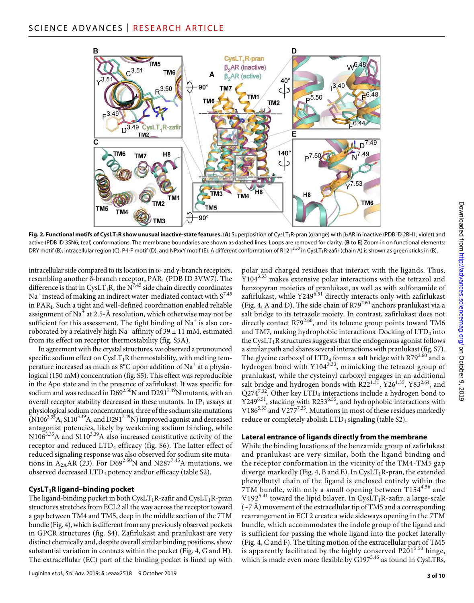

Fig. 2. Functional motifs of CysLT<sub>1</sub>R show unusual inactive-state features. (A) Superposition of CysLT<sub>1</sub>R-pran (orange) with  $\beta_2$ AR in inactive (PDB ID 2RH1; violet) and active (PDB ID 3SN6; teal) conformations. The membrane boundaries are shown as dashed lines. Loops are removed for clarity. (**B** to **E**) Zoom in on functional elements: DRY motif (B), intracellular region (C), P-I-F motif (D), and NPxxY motif (E). A different conformation of R121<sup>3.50</sup> in CysLT<sub>1</sub>R-zafir (chain A) is shown as green sticks in (B).

intracellular side compared to its location in  $\alpha$ - and  $\gamma$ -branch receptors, resembling another  $\delta$ -branch receptor, PAR<sub>1</sub> (PDB ID 3VW7). The difference is that in CysLT<sub>1</sub>R, the N<sup>7.45</sup> side chain directly coordinates  $\mathrm{Na}^+$  instead of making an indirect water-mediated contact with  $\mathrm{S}^{7.45}$ in PAR1. Such a tight and well-defined coordination enabled reliable assignment of Na<sup>+</sup> at 2.5-Å resolution, which otherwise may not be sufficient for this assessment. The tight binding of  $\mathrm{Na}^+$  is also corroborated by a relatively high Na<sup>+</sup> affinity of 39  $\pm$  11 mM, estimated from its effect on receptor thermostability (fig. S5A).

In agreement with the crystal structures, we observed a pronounced specific sodium effect on  $CysLT_1R$  thermostability, with melting temperature increased as much as 8°C upon addition of Na<sup>+</sup> at a physiological (150 mM) concentration (fig. S5). This effect was reproducible in the Apo state and in the presence of zafirlukast. It was specific for sodium and was reduced in  $D69^{2.50}$ N and  $D291^{7.49}$ N mutants, with an overall receptor stability decreased in these mutants. In  $IP_1$  assays at physiological sodium concentrations, three of the sodium site mutations  $(N106<sup>3.35</sup>A, S110<sup>3.39</sup>A, and D291<sup>7.49</sup>N)$  improved agonist and decreased antagonist potencies, likely by weakening sodium binding, while  $N106^{3.35}$ A and S110<sup>3.39</sup>A also increased constitutive activity of the receptor and reduced  $LTD_4$  efficacy (fig. S6). The latter effect of reduced signaling response was also observed for sodium site mutations in  $A_{2A}AR$  (23). For D69<sup>2.50</sup>N and N287<sup>7.45</sup>A mutations, we observed decreased LTD4 potency and/or efficacy (table S2).

## **CysLT1R ligand–binding pocket**

The ligand-binding pocket in both  $CysLT_1R$ -zafir and  $CysLT_1R$ -pran structures stretches from ECL2 all the way across the receptor toward a gap between TM4 and TM5, deep in the middle section of the 7TM bundle (Fig. 4), which is different from any previously observed pockets in GPCR structures (fig. S4). Zafirlukast and pranlukast are very distinct chemically and, despite overall similar binding positions, show substantial variation in contacts within the pocket (Fig. 4, G and H). The extracellular (EC) part of the binding pocket is lined up with

polar and charged residues that interact with the ligands. Thus, Y1043.33 makes extensive polar interactions with the tetrazol and benzopyran moieties of pranlukast, as well as with sulfonamide of  $z$ afirlukast, while Y249 $6.51$  directly interacts only with zafirlukast (Fig. 4, A and D). The side chain of R79<sup>2.60</sup> anchors pranlukast via a salt bridge to its tetrazole moiety. In contrast, zafirlukast does not directly contact  $R79^{2.60}$ , and its toluene group points toward TM6 and TM7, making hydrophobic interactions. Docking of LTD<sub>4</sub> into the CysLT<sub>1</sub>R structures suggests that the endogenous agonist follows a similar path and shares several interactions with pranlukast (fig. S7). The glycine carboxyl of  $LTD_4$  forms a salt bridge with R79<sup>2.60</sup> and a hydrogen bond with  $Y104^{3.33}$ , mimicking the tetrazol group of pranlukast, while the cysteinyl carboxyl engages in an additional salt bridge and hydrogen bonds with R22<sup>1.31</sup>, Y26<sup>1.35</sup>, Y83<sup>2.64</sup>, and  $Q274^{7.32}$ . Other key LTD<sub>4</sub> interactions include a hydrogen bond to  $Y249^{6.51}$ , stacking with R253<sup>6.55</sup>, and hydrophobic interactions with  $Y249^{6.51}$ , stacking with R253<sup>6.55</sup>, and hydrophobic interactions with  $\frac{11}{10}$ V186<sup>5.35</sup> and V277<sup>7.35</sup>. Mutations in most of these residues markedly reduce or completely abolish LTD<sub>4</sub> signaling (table S2).

## **Lateral entrance ofligands directly from the membrane**

While the binding locations of the benzamide group of zafirlukast and pranlukast are very similar, both the ligand binding and the receptor conformation in the vicinity of the TM4-TM5 gap diverge markedly (Fig. 4, B and E). In CysLT<sub>1</sub>R-pran, the extended phenylbutyl chain of the ligand is enclosed entirely within the 7TM bundle, with only a small opening between  $T154^{4.56}$  and V192<sup>5.41</sup> toward the lipid bilayer. In CysLT<sub>1</sub>R-zafir, a large-scale  $({\sim}7 \text{ Å})$  movement of the extracellular tip of TM5 and a corresponding rearrangement in ECL2 create a wide sideways opening in the 7TM bundle, which accommodates the indole group of the ligand and is sufficient for passing the whole ligand into the pocket laterally (Fig. 4, C and F). The tilting motion of the extracellular part of TM5 is apparently facilitated by the highly conserved  $P201^{5.50}$  hinge, which is made even more flexible by  $G197^{5.46}$  as found in CysLTRs,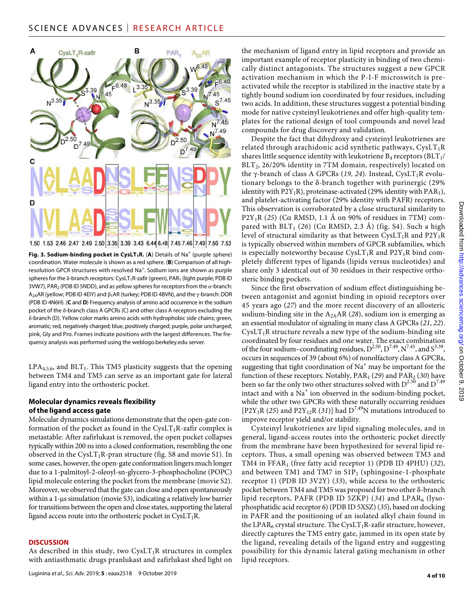

Fig. 3. Sodium-binding pocket in CysLT<sub>1</sub>R. (A) Details of Na<sup>+</sup> (purple sphere) coordination. Water molecule is shown as a red sphere. (**B**) Comparison of all highresolution GPCR structures with resolved Na<sup>+</sup>. Sodium ions are shown as purple spheres for the  $\delta$ -branch receptors: CysLT<sub>1</sub>R-zafir (green), PAR<sub>1</sub> (light purple; PDB ID  $3VW7$ ), PAR<sub>2</sub> (PDB ID 5NDD), and as yellow spheres for receptors from the  $\alpha$ -branch: A<sub>2A</sub>AR (yellow; PDB ID 4EIY) and  $\beta_1$ AR (turkey; PDB ID 4BVN), and the  $\gamma$ -branch: DOR (PDB ID 4N6H). (**C** and **D**) Frequency analysis of amino acid occurrence in the sodium pocket of the  $\delta$ -branch class A GPCRs (C) and other class A receptors excluding the -branch (D). Yellow color marks amino acids with hydrophobic side chains; green, aromatic; red, negatively charged; blue, positively charged; purple, polar uncharged; pink, Gly and Pro. Frames indicate positions with the largest differences. The frequency analysis was performed using the [weblogo.berkeley.edu](http://weblogo.berkeley.edu) server.

 $LPA<sub>4,5,6</sub>$ , and  $BLT<sub>1</sub>$ . This TM5 plasticity suggests that the opening between TM4 and TM5 can serve as an important gate for lateral ligand entry into the orthosteric pocket.

# **Molecular dynamics reveals flexibility ofthe ligand access gate**

Molecular dynamics simulations demonstrate that the open-gate conformation of the pocket as found in the  $CysLT_1R$ -zafir complex is metastable: After zafirlukast is removed, the open pocket collapses typically within 200 ns into a closed conformation, resembling the one observed in the CysLT<sub>1</sub>R-pran structure (fig. S8 and movie S1). In some cases, however, the open-gate conformation lingers much longer due to a 1-palmitoyl-2-oleoyl-sn-glycero-3-phosphocholine (POPC) lipid molecule entering the pocket from the membrane (movie S2). Moreover, we observed that the gate can close and open spontaneously within a 1-us simulation (movie S3), indicating a relatively low barrier for transitions between the open and close states, supporting the lateral ligand access route into the orthosteric pocket in  $CysLT_1R$ .

## **DISCUSSION**

As described in this study, two  $CysLT_1R$  structures in complex with antiasthmatic drugs pranlukast and zafirlukast shed light on

the mechanism of ligand entry in lipid receptors and provide an important example of receptor plasticity in binding of two chemically distinct antagonists. The structures suggest a new GPCR activation mechanism in which the P-I-F microswitch is preactivated while the receptor is stabilized in the inactive state by a tightly bound sodium ion coordinated by four residues, including two acids. In addition, these structures suggest a potential binding mode for native cysteinyl leukotrienes and offer high-quality templates for the rational design of tool compounds and novel lead compounds for drug discovery and validation.

Despite the fact that dihydroxy and cysteinyl leukotrienes are related through arachidonic acid synthetic pathways,  $CysLT_1R$ shares little sequence identity with leukotriene  $B_4$  receptors ( $BLT_1$ / BLT<sub>2</sub>, 26/20% identity in 7TM domain, respectively) located on the  $\gamma$ -branch of class A GPCRs (19, 24). Instead, CysLT<sub>1</sub>R evolutionary belongs to the  $\delta$ -branch together with purinergic (29%) identity with  $P2Y_1R$ ), proteinase-activated (29% identity with  $PAR_1$ ), and platelet-activating factor (29% identity with PAFR) receptors. This observation is corroborated by a close structural similarity to  $P2Y_1R$  (25) (C $\alpha$  RMSD, 1.1 Å on 90% of residues in 7TM) compared with  $BLT_1$  (26) (C $\alpha$  RMSD, 2.3 Å) (fig. S4). Such a high level of structural similarity as that between  $CysLT_1R$  and  $P2Y_1R$ is typically observed within members of GPCR subfamilies, which is especially noteworthy because  $CysLT_1R$  and  $P2Y_1R$  bind completely different types of ligands (lipids versus nucleotides) and share only 3 identical out of 30 residues in their respective orthosteric binding pockets.

Since the first observation of sodium effect distinguishing between antagonist and agonist binding in opioid receptors over 45 years ago (*27*) and the more recent discovery of an allosteric sodium-binding site in the A2AAR (*28*), sodium ion is emerging as an essential modulator of signaling in many class A GPCRs (*21*, *22*).  $CysLT<sub>1</sub>R$  structure reveals a new type of the sodium-binding site coordinated by four residues and one water. The exact combination of the four sodium–coordinating residues,  $D^{2.50}$ ,  $D^{7.49}$ ,  $N^{7.45}$ , and  $S^{3.39}$ , occurs in sequences of 39 (about 6%) of nonolfactory class A GPCRs, suggesting that tight coordination of  $\mathrm{Na}^+$  may be important for the function of these receptors. Notably, PAR<sub>1</sub> (29) and PAR<sub>2</sub> (30) have been so far the only two other structures solved with  $D^{2.50}$  and  $D^{7.49}$ intact and with a  $\mathrm{Na}^+$  ion observed in the sodium-binding pocket, while the other two GPCRs with these naturally occurring residues  $[P2Y_1R (25)$  and  $P2Y_{12}R (31)]$  had  $D^{7.49}N$  mutations introduced to improve receptor yield and/or stability.

Cysteinyl leukotrienes are lipid signaling molecules, and in general, ligand-access routes into the orthosteric pocket directly from the membrane have been hypothesized for several lipid receptors. Thus, a small opening was observed between TM3 and TM4 in FFAR<sub>1</sub> (free fatty acid receptor 1) (PDB ID 4PHU) (32), and between TM1 and TM7 in  $S1P_1$  (sphingosine-1-phosphate receptor 1) (PDB ID 3V2Y) (*33*), while access to the orthosteric pocket between TM4 and TM5 was proposed for two other  $\delta$ -branch lipid receptors, PAFR (PDB ID 5ZKP) (*34*) and LPAR6 (lysophosphatidic acid receptor 6) (PDB ID 5XSZ) (*35*), based on docking in PAFR and the positioning of an isolated alkyl chain found in the LPAR<sub>6</sub> crystal structure. The CysLT<sub>1</sub>R-zafir structure, however, directly captures the TM5 entry gate, jammed in its open state by the ligand, revealing details of the ligand entry and suggesting possibility for this dynamic lateral gating mechanism in other lipid receptors.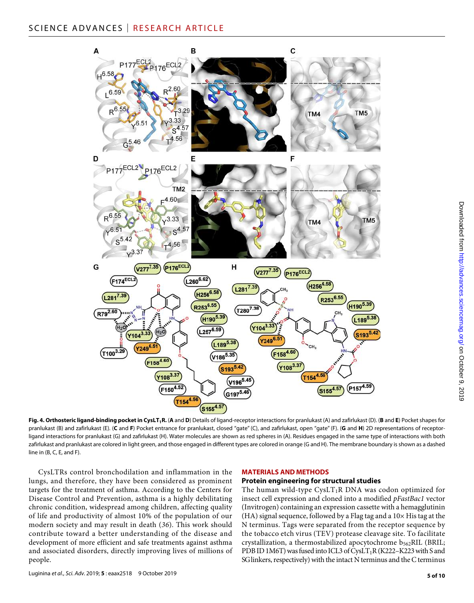

**Fig. 4. Orthosteric ligand-binding pocket in CysLT1R.** (**A** and **D**) Details of ligand-receptor interactions for pranlukast (A) and zafirlukast (D). (**B** and **E**) Pocket shapes for pranlukast (B) and zafirlukast (E). (**C** and **F**) Pocket entrance for pranlukast, closed "gate" (C), and zafirlukast, open "gate" (F). (**G** and **H**) 2D representations of receptorligand interactions for pranlukast (G) and zafirlukast (H). Water molecules are shown as red spheres in (A). Residues engaged in the same type of interactions with both zafirlukast and pranlukast are colored in light green, and those engaged in different types are colored in orange (G and H). The membrane boundary is shown as a dashed line in (B, C, E, and F).

CysLTRs control bronchodilation and inflammation in the lungs, and therefore, they have been considered as prominent targets for the treatment of asthma. According to the Centers for Disease Control and Prevention, asthma is a highly debilitating chronic condition, widespread among children, affecting quality of life and productivity of almost 10% of the population of our modern society and may result in death (*36*). This work should contribute toward a better understanding of the disease and development of more efficient and safe treatments against asthma and associated disorders, directly improving lives of millions of people.

# **MATERIALS AND METHODS**

#### **Protein engineering for structural studies**

The human wild-type  $CysLT_1R$  DNA was codon optimized for insect cell expression and cloned into a modified *pFastBac1* vector (Invitrogen) containing an expression cassette with a hemagglutinin (HA) signal sequence, followed by a Flag tag and a  $10\times$  His tag at the N terminus. Tags were separated from the receptor sequence by the tobacco etch virus (TEV) protease cleavage site. To facilitate crystallization, a thermostabilized apocytochrome  $b_{562}$ RIL (BRIL; PDB ID 1M6T) was fused into ICL3 of CysLT<sub>1</sub>R (K222–K223 with S and SG linkers, respectively) with the intact N terminus and the C terminus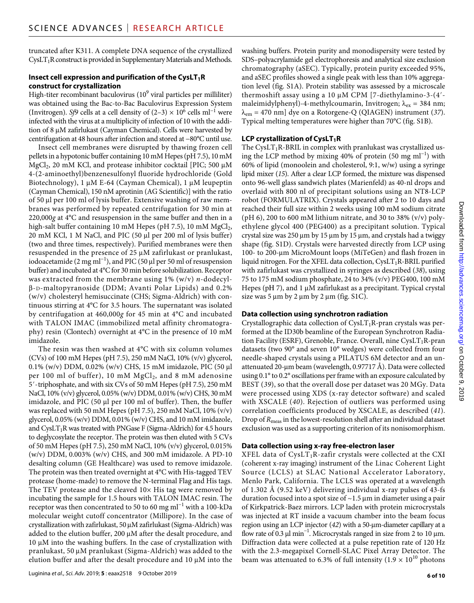truncated after K311. A complete DNA sequence of the crystallized CysLT<sub>1</sub>R construct is provided in Supplementary Materials and Methods.

# **Insect cell expression and purification of the CysLT<sub>1</sub>R construct for crystallization**

High-titer recombinant baculovirus (10 $^9$  viral particles per milliliter) was obtained using the Bac-to-Bac Baculovirus Expression System (Invitrogen). *Sf9* cells at a cell density of (2–3) × 10<sup>6</sup> cells ml<sup>−1</sup> were infected with the virus at a multiplicity of infection of 10 with the addition of 8 µM zafirlukast (Cayman Chemical). Cells were harvested by centrifugation at 48 hours after infection and stored at −80°C until use.

Insect cell membranes were disrupted by thawing frozen cell pellets in a hypotonic buffer containing 10 mM Hepes (pH 7.5), 10 mM  $MgCl<sub>2</sub>$ , 20 mM KCl, and protease inhibitor cocktail [PIC; 500  $\mu$ M 4-(2-aminoethyl)benzenesulfonyl fluoride hydrochloride (Gold Biotechnology), 1  $\mu$ M E-64 (Cayman Chemical), 1  $\mu$ M leupeptin (Cayman Chemical), 150 nM aprotinin (AG Scientific)] with the ratio of 50 µl per 100 ml of lysis buffer. Extensive washing of raw membranes was performed by repeated centrifugation for 30 min at 220,000*g* at 4°C and resuspension in the same buffer and then in a high-salt buffer containing 10 mM Hepes (pH 7.5), 10 mM  $MgCl<sub>2</sub>$ ,  $20 \text{ mM KCl}$ , 1 M NaCl, and PIC (50  $\mu$ l per 200 ml of lysis buffer) (two and three times, respectively). Purified membranes were then resuspended in the presence of 25  $\mu$ M zafirlukast or pranlukast, iodoacetamide (2 mg ml<sup>-1</sup>), and PIC (50 µl per 50 ml of resuspension buffer) and incubated at 4°C for 30 min before solubilization. Receptor was extracted from the membrane using 1% (w/v) *n*-dodecyl-  $\beta$ -D-maltopyranoside (DDM; Avanti Polar Lipids) and 0.2% (w/v) cholesteryl hemisuccinate (CHS; Sigma-Aldrich) with continuous stirring at 4°C for 3.5 hours. The supernatant was isolated by centrifugation at 460,000*g* for 45 min at 4°C and incubated with TALON IMAC (immobilized metal affinity chromatography) resin (Clontech) overnight at 4°C in the presence of 10 mM imidazole.

The resin was then washed at 4°C with six column volumes (CVs) of 100 mM Hepes (pH 7.5), 250 mM NaCl, 10% (v/v) glycerol, 0.1% (w/v) DDM, 0.02% (w/v) CHS, 15 mM imidazole, PIC (50 µl) per 100 ml of buffer), 10 mM  $MgCl<sub>2</sub>$ , and 8 mM adenosine 5′-triphosphate, and with six CVs of 50 mM Hepes (pH 7.5), 250 mM NaCl, 10% (v/v) glycerol, 0.05% (w/v) DDM, 0.01% (w/v) CHS, 30 mM imidazole, and PIC (50 µl per 100 ml of buffer). Then, the buffer was replaced with 50 mM Hepes (pH 7.5), 250 mM NaCl, 10% (v/v) glycerol,  $0.05\%$  (w/v) DDM,  $0.01\%$  (w/v) CHS, and 10 mM imidazole, and  $CysLT_1R$  was treated with PNGase F (Sigma-Aldrich) for 4.5 hours to deglycosylate the receptor. The protein was then eluted with 5 CVs of 50 mM Hepes (pH 7.5), 250 mM NaCl, 10% (v/v) glycerol, 0.015% (w/v) DDM, 0.003% (w/v) CHS, and 300 mM imidazole. A PD-10 desalting column (GE Healthcare) was used to remove imidazole. The protein was then treated overnight at 4°C with His-tagged TEV protease (home-made) to remove the N-terminal Flag and His tags. The TEV protease and the cleaved  $10\times$  His tag were removed by incubating the sample for 1.5 hours with TALON IMAC resin. The receptor was then concentrated to 50 to 60 mg ml−1 with a 100-kDa molecular weight cutoff concentrator (Millipore). In the case of crystallization with zafirlukast,  $50 \mu$ M zafirlukast (Sigma-Aldrich) was added to the elution buffer, 200 µM after the desalt procedure, and  $10 \mu$ M into the washing buffers. In the case of crystallization with pranlukast, 50 µM pranlukast (Sigma-Aldrich) was added to the elution buffer and after the desalt procedure and  $10 \mu$ M into the

washing buffers. Protein purity and monodispersity were tested by SDS–polyacrylamide gel electrophoresis and analytical size exclusion chromatography (aSEC). Typically, protein purity exceeded 95%, and aSEC profiles showed a single peak with less than 10% aggregation level (fig. S1A). Protein stability was assessed by a microscale thermoshift assay using a 10  $\mu$ M CPM [7-diethylamino-3-(4'maleimidylphenyl)-4-methylcoumarin, Invitrogen;  $\lambda_{ex}$  = 384 nm;  $\lambda_{em}$  = 470 nm] dye on a Rotorgene-Q (QIAGEN) instrument (37). Typical melting temperatures were higher than 70°C (fig. S1B).

# **LCP crystallization of CysLT<sub>1</sub>R**

The CysLT<sub>1</sub>R-BRIL in complex with pranlukast was crystallized using the LCP method by mixing 40% of protein (50 mg ml<sup>-1</sup>) with 60% of lipid (monoolein and cholesterol, 9:1, w/w) using a syringe lipid mixer (*15*). After a clear LCP formed, the mixture was dispensed onto 96-well glass sandwich plates (Marienfeld) as 40-nl drops and overlaid with 800 nl of precipitant solutions using an NT8-LCP robot (FORMULATRIX). Crystals appeared after 2 to 10 days and reached their full size within 2 weeks using 100 mM sodium citrate (pH 6), 200 to 600 mM lithium nitrate, and 30 to 38% (v/v) polyethylene glycol 400 (PEG400) as a precipitant solution. Typical crystal size was  $250 \mu m$  by  $15 \mu m$  by  $15 \mu m$ , and crystals had a twiggy shape (fig. S1D). Crystals were harvested directly from LCP using 100- to 200-μm MicroMount loops (MiTeGen) and flash frozen in liquid nitrogen. For the XFEL data collection,  $CysLT_1R-BRIL$  purified with zafirlukast was crystallized in syringes as described (*38*), using 75 to 175 mM sodium phosphate, 24 to 34% (v/v) PEG400, 100 mM Hepes (pH 7), and  $1 \mu$ M zafirlukast as a precipitant. Typical crystal size was  $5 \mu m$  by  $2 \mu m$  by  $2 \mu m$  (fig. S1C).

# **Data collection using synchrotron radiation**

Crystallographic data collection of  $CysLT_1R$ -pran crystals was performed at the ID30b beamline of the European Synchrotron Radiation Facility (ESRF), Grenoble, France. Overall, nine CysLT1R-pran datasets (two 90° and seven 10° wedges) were collected from four needle-shaped crystals using a PILATUS 6M detector and an unattenuated 20-µm beam (wavelength,  $0.97717$  Å). Data were collected using 0.1° to 0.2° oscillations per frame with an exposure calculated by BEST (*39*), so that the overall dose per dataset was 20 MGy. Data were processed using XDS (x-ray detector software) and scaled with XSCALE (*40*). Rejection of outliers was performed using correlation coefficients produced by XSCALE, as described (*41*). Drop of *R*meas in the lowest-resolution shell after an individual dataset exclusion was used as a supporting criterion of its nonisomorphism.

# **Data collection using x-ray free-electron laser**

XFEL data of  $CysLT_1R$ -zafir crystals were collected at the CXI (coherent x-ray imaging) instrument of the Linac Coherent Light Source (LCLS) at SLAC National Accelerator Laboratory, Menlo Park, California. The LCLS was operated at a wavelength of 1.302 Å (9.52 keV) delivering individual x-ray pulses of 43-fs duration focused into a spot size of  $\sim$  1.5  $\mu$ m in diameter using a pair of Kirkpatrick-Baez mirrors. LCP laden with protein microcrystals was injected at RT inside a vacuum chamber into the beam focus region using an LCP injector (42) with a 50-µm-diameter capillary at a flow rate of 0.3  $\mu$ l min<sup>-1</sup>. Microcrystals ranged in size from 2 to 10  $\mu$ m. Diffraction data were collected at a pulse repetition rate of 120 Hz with the 2.3-megapixel Cornell-SLAC Pixel Array Detector. The beam was attenuated to 6.3% of full intensity (1.9  $\times$  10<sup>10</sup> photons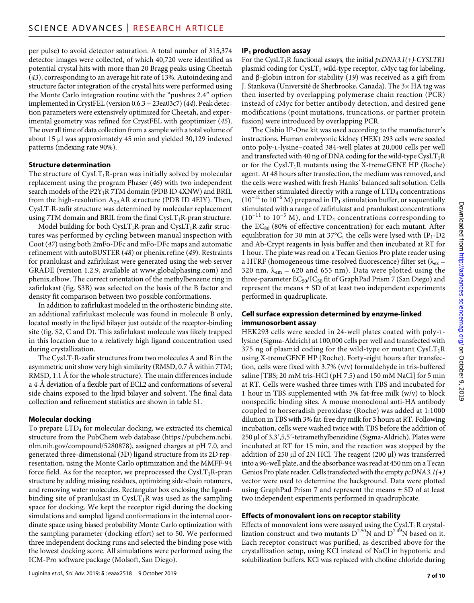per pulse) to avoid detector saturation. A total number of 315,374 detector images were collected, of which 40,720 were identified as potential crystal hits with more than 20 Bragg peaks using Cheetah (*43*), corresponding to an average hit rate of 13%. Autoindexing and structure factor integration of the crystal hits were performed using the Monte Carlo integration routine with the "pushres 2.4" option implemented in CrystFEL (version 0.6.3 + 23ea03c7) (*44*). Peak detection parameters were extensively optimized for Cheetah, and experimental geometry was refined for CrystFEL with geoptimizer (*45*). The overall time of data collection from a sample with a total volume of about 15 µl was approximately 45 min and yielded 30,129 indexed patterns (indexing rate 90%).

# **Structure determination**

The structure of  $CysLT_1R$ -pran was initially solved by molecular replacement using the program Phaser (*46*) with two independent search models of the P2Y<sub>1</sub>R 7TM domain (PDB ID 4XNW) and BRIL from the high-resolution  $A_{2A}AR$  structure (PDB ID 4EIY). Then,  $CysLT<sub>1</sub>R-zafir structure was determined by molecular replacement$ using 7TM domain and BRIL from the final  $CysLT_1R$ -pran structure.

Model building for both CysLT<sub>1</sub>R-pran and CysLT<sub>1</sub>R-zafir structures was performed by cycling between manual inspection with Coot (*47*) using both 2mFo-DFc and mFo-DFc maps and automatic refinement with autoBUSTER (*48*) or phenix.refine (*49*). Restraints for pranlukast and zafirlukast were generated using the web server GRADE (version 1.2.9, available at [www.globalphasing.com](http://www.globalphasing.com)) and phenix.elbow. The correct orientation of the methylbenzene ring in zafirlukast (fig. S3B) was selected on the basis of the B factor and density fit comparison between two possible conformations.

In addition to zafirlukast modeled in the orthosteric binding site, an additional zafirlukast molecule was found in molecule B only, located mostly in the lipid bilayer just outside of the receptor-binding site (fig. S2, C and D). This zafirlukast molecule was likely trapped in this location due to a relatively high ligand concentration used during crystallization.

The CysLT<sub>1</sub>R-zafir structures from two molecules A and B in the asymmetric unit show very high similarity (RMSD, 0.7 Å within 7TM; RMSD, 1.1 Å for the whole structure). The main differences include a 4-Å deviation of a flexible part of ECL2 and conformations of several side chains exposed to the lipid bilayer and solvent. The final data collection and refinement statistics are shown in table S1.

# **Molecular docking**

To prepare LTD<sub>4</sub> for molecular docking, we extracted its chemical structure from the PubChem web database ([https://pubchem.ncbi.](https://pubchem.ncbi.nlm.nih.gov/compound/5280878) [nlm.nih.gov/compound/5280878](https://pubchem.ncbi.nlm.nih.gov/compound/5280878)), assigned charges at pH 7.0, and generated three-dimensional (3D) ligand structure from its 2D representation, using the Monte Carlo optimization and the MMFF-94 force field. As for the receptor, we preprocessed the  $CysLT_1R-pran$ structure by adding missing residues, optimizing side-chain rotamers, and removing water molecules. Rectangular box enclosing the ligandbinding site of pranlukast in  $CysLT_1R$  was used as the sampling space for docking. We kept the receptor rigid during the docking simulations and sampled ligand conformations in the internal coordinate space using biased probability Monte Carlo optimization with the sampling parameter (docking effort) set to 50. We performed three independent docking runs and selected the binding pose with the lowest docking score. All simulations were performed using the ICM-Pro software package (Molsoft, San Diego).

# **IP1 production assay**

For the CysLT<sub>1</sub>R functional assays, the initial *pcDNA3.1(+)-CYSLTR1* plasmid coding for  $CysLT_1$  wild-type receptor, cMyc tag for labeling, and  $\beta$ -globin intron for stability (19) was received as a gift from J. Stankova (Université de Sherbrooke, Canada). The 3× HA tag was then inserted by overlapping polymerase chain reaction (PCR) instead of cMyc for better antibody detection, and desired gene modifications (point mutations, truncations, or partner protein fusion) were introduced by overlapping PCR.

The Cisbio IP-One kit was used according to the manufacturer's instructions. Human embryonic kidney (HEK) 293 cells were seeded onto poly-l-lysine–coated 384-well plates at 20,000 cells per well and transfected with 40 ng of DNA coding for the wild-type  $CysLT_1R$ or for the CysLT<sub>1</sub>R mutants using the X-tremeGENE HP (Roche) agent. At 48 hours after transfection, the medium was removed, and the cells were washed with fresh Hanks' balanced salt solution. Cells were either stimulated directly with a range of  $LTD_4$  concentrations ( $10^{-12}$  to  $10^{-6}$  M) prepared in IP<sub>1</sub> stimulation buffer, or sequentially stimulated with a range of zafirlukast and pranlukast concentrations  $(10^{-11}$  to  $10^{-5}$  M), and LTD<sub>4</sub> concentrations corresponding to the  $EC_{80}$  (80% of effective concentration) for each mutant. After equilibration for 30 min at 37 $\mathrm{^{\circ}C}$ , the cells were lysed with IP<sub>1</sub>-D2 and Ab-Crypt reagents in lysis buffer and then incubated at RT for 1 hour. The plate was read on a Tecan Genios Pro plate reader using a HTRF (homogeneous time-resolved fluorescence) filter set ( $\lambda_{ex}$  = 320 nm,  $\lambda_{em}$  = 620 and 655 nm). Data were plotted using the three-parameter  $EC_{50}/IC_{50}$  fit of GraphPad Prism 7 (San Diego) and represent the means  $\pm$  SD of at least two independent experiments performed in quadruplicate.

# **Cell surface expression determined by enzyme-linked immunosorbent assay**

HEK293 cells were seeded in 24-well plates coated with poly-llysine (Sigma-Aldrich) at 100,000 cells per well and transfected with 375 ng of plasmid coding for the wild-type or mutant  $CysLT_1R$ using X-tremeGENE HP (Roche). Forty-eight hours after transfection, cells were fixed with 3.7% (v/v) formaldehyde in tris-buffered saline [TBS; 20 mM tris-HCl (pH 7.5) and 150 mM NaCl] for 5 min at RT. Cells were washed three times with TBS and incubated for 1 hour in TBS supplemented with 3% fat-free milk (w/v) to block nonspecific binding sites. A mouse monoclonal anti-HA antibody coupled to horseradish peroxidase (Roche) was added at 1:1000 dilution in TBS with 3% fat-free dry milk for 3 hours at RT. Following incubation, cells were washed twice with TBS before the addition of 250 μl of 3,3',5,5'-tetramethylbenzidine (Sigma-Aldrich). Plates were incubated at RT for 15 min, and the reaction was stopped by the addition of 250  $\mu$ l of 2N HCl. The reagent (200  $\mu$ l) was transferred into a 96-well plate, and the absorbance was read at 450 nm on a Tecan Genios Pro plate reader. Cells transfected with the empty *pcDNA3.1(+)* vector were used to determine the background. Data were plotted using GraphPad Prism 7 and represent the means ± SD of at least two independent experiments performed in quadruplicate.

# **Effects of monovalent ions on receptor stability**

Effects of monovalent ions were assayed using the CysLT<sub>1</sub>R crystallization construct and two mutants  $D^{2.50}N$  and  $D^{7.49}N$  based on it. Each receptor construct was purified, as described above for the crystallization setup, using KCl instead of NaCl in hypotonic and solubilization buffers. KCl was replaced with choline chloride during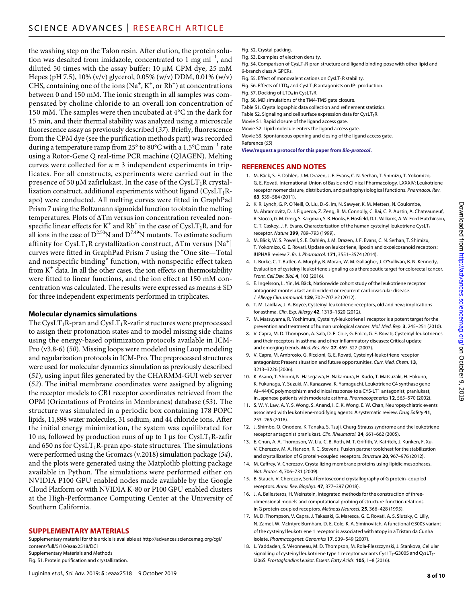the washing step on the Talon resin. After elution, the protein solution was desalted from imidazole, concentrated to 1 mg ml<sup>-1</sup>, and diluted 50 times with the assay buffer:  $10 \mu M$  CPM dye,  $25 \mu M$ Hepes (pH 7.5), 10% (v/v) glycerol, 0.05% (w/v) DDM, 0.01% (w/v) CHS, containing one of the ions (Na<sup>+</sup>, K<sup>+</sup>, or Rb<sup>+</sup>) at concentrations between 0 and 150 mM. The ionic strength in all samples was compensated by choline chloride to an overall ion concentration of 150 mM. The samples were then incubated at 4°C in the dark for 15 min, and their thermal stability was analyzed using a microscale fluorescence assay as previously described (*37*). Briefly, fluorescence from the CPM dye (see the purification methods part) was recorded during a temperature ramp from 25° to 80°C with a 1.5°C min−1 rate using a Rotor-Gene Q real-time PCR machine (QIAGEN). Melting curves were collected for  $n = 3$  independent experiments in triplicates. For all constructs, experiments were carried out in the presence of 50  $\mu$ M zafirlukast. In the case of the CysLT<sub>1</sub>R crystallization construct, additional experiments without ligand  $(CysLT_1R$ apo) were conducted. All melting curves were fitted in GraphPad Prism 7 using the Boltzmann sigmoidal function to obtain the melting temperatures. Plots of  $\Delta T$ m versus ion concentration revealed nonspecific linear effects for K<sup>+</sup> and Rb<sup>+</sup> in the case of CysLT<sub>1</sub>R, and for all ions in the case of  $D^{2.50}N$  and  $D^{7.49}N$  mutants. To estimate sodium affinity for CysLT<sub>1</sub>R crystallization construct,  $\Delta T$ m versus [Na<sup>+</sup>] curves were fitted in GraphPad Prism 7 using the "One site—Total and nonspecific binding" function, with nonspecific effect taken from  $K^+$  data. In all the other cases, the ion effects on thermostability were fitted to linear functions, and the ion effect at 150 mM concentration was calculated. The results were expressed as means  $\pm$  SD for three independent experiments performed in triplicates.

## **Molecular dynamics simulations**

The CysLT<sub>1</sub>R-pran and CysLT<sub>1</sub>R-zafir structures were preprocessed to assign their protonation states and to model missing side chains using the energy-based optimization protocols available in ICM-Pro (v3.8-6) (*50*). Missing loops were modeled using Loop modeling and regularization protocols in ICM-Pro. The preprocessed structures were used for molecular dynamics simulation as previously described (*51*), using input files generated by the CHARMM-GUI web server (*52*). The initial membrane coordinates were assigned by aligning the receptor models to CB1 receptor coordinates retrieved from the OPM (Orientations of Proteins in Membranes) database (*53*). The structure was simulated in a periodic box containing 178 POPC lipids, 11,898 water molecules, 31 sodium, and 44 chloride ions. After the initial energy minimization, the system was equilibrated for 10 ns, followed by production runs of up to 1  $\mu$ s for CysLT<sub>1</sub>R-zafir and 650 ns for  $CysLT_1R$ -pran apo-state structures. The simulations were performed using the Gromacs (v.2018) simulation package (*54*), and the plots were generated using the Matplotlib plotting package available in Python. The simulations were performed either on NVIDIA P100 GPU enabled nodes made available by the Google Cloud Platform or with NVIDIA K-80 or P100 GPU enabled clusters at the High-Performance Computing Center at the University of Southern California.

## **SUPPLEMENTARY MATERIALS**

Supplementary material for this article is available at [http://advances.sciencemag.org/cgi/](http://advances.sciencemag.org/cgi/content/full/5/10/eaax2518/DC1) [content/full/5/10/eaax2518/DC1](http://advances.sciencemag.org/cgi/content/full/5/10/eaax2518/DC1) Supplementary Materials and Methods Fig. S1. Protein purification and crystallization.

- Fig. S2. Crystal packing.
- Fig. S3. Examples of electron density.
- Fig. S4. Comparison of CysLT<sub>1</sub>R-pran structure and ligand binding pose with other lipid and -branch class A GPCRs.
- Fig. S5. Effect of monovalent cations on CysLT<sub>1</sub>R stability.
- Fig. S6. Effects of LTD<sub>4</sub> and CysLT<sub>1</sub>R antagonists on IP<sub>1</sub> production.
- Fig. S7. Docking of  $LTD<sub>4</sub>$  in CysLT<sub>1</sub>R.
- Fig. S8. MD simulations of the TM4-TM5 gate closure.
- Table S1. Crystallographic data collection and refinement statistics.
- Table S2. Signaling and cell surface expression data for CysLT<sub>1</sub>R.
- Movie S1. Rapid closure of the ligand access gate.
- Movie S2. Lipid molecule enters the ligand access gate.

Movie S3. Spontaneous opening and closing of the ligand access gate. Reference (*55*)

**[View/request a protocol for this paper from](https://en.bio-protocol.org/rap.aspx?eid=10.1126/sciadv.aax2518)** *Bio-protocol***.**

#### **REFERENCES AND NOTES**

- 1. M. Bäck, S.-E. Dahlén, J. M. Drazen, J. F. Evans, C. N. Serhan, T. Shimizu, T. Yokomizo, G. E. Rovati, International Union of Basic and Clinical Pharmacology. LXXXIV: Leukotriene receptor nomenclature, distribution, and pathophysiological functions. *Pharmacol. Rev.* **63**, 539–584 (2011).
- 2. K. R. Lynch, G. P. O'Neill, Q. Liu, D.-S. Im, N. Sawyer, K. M. Metters, N. Coulombe, M. Abramovitz, D. J. Figueroa, Z. Zeng, B. M. Connolly, C. Bai, C. P. Austin, A. Chateauneuf, R. Stocco, G. M.Greig, S. Kargman, S. B.Hooks, E.Hosfield, D. L. Williams, A. W. Ford-Hutchinson, C. T. Caskey, J. F. Evans, Characterization of the human cysteinyl leukotriene CysLT<sub>1</sub> receptor. *Nature* **399**, 789–793 (1999).
- 3. M. Bäck, W. S. Powell, S. E. Dahlén, J. M. Drazen, J. F. Evans, C. N. Serhan, T. Shimizu, T. Yokomizo, G. E. Rovati, Update on leukotriene, lipoxin and oxoeicosanoid receptors: IUPHAR review 7. *Br. J. Pharmacol.* **171**, 3551–3574 (2014).
- 4. L. Burke, C. T. Butler, A. Murphy, B. Moran, W. M. Gallagher, J. O'Sullivan, B. N. Kennedy, Evaluation of cysteinyl leukotriene signaling as a therapeutic target for colorectal cancer. *Front. Cell Dev. Biol.* **4**, 103 (2016).
- 5. E. Ingelsson, L. Yin, M. Bäck, Nationwide cohort study of the leukotriene receptor antagonist montelukast and incident or recurrent cardiovascular disease. *J. Allergy Clin. Immunol.* **129**, 702–707.e2 (2012).
- 6. T. M. Laidlaw, J. A. Boyce, Cysteinyl leukotriene receptors, old and new; implications for asthma. *Clin. Exp. Allergy* **42**, 1313–1320 (2012).
- 7. M. Matsuyama, R. Yoshimura, Cysteinyl-leukotriene1 receptor is a potent target for the prevention and treatment of human urological cancer. *Mol. Med. Rep.* **3**, 245–251 (2010).
- 8. V. Capra, M. D. Thompson, A. Sala, D. E. Cole, G. Folco, G. E. Rovati, Cysteinyl-leukotrienes and their receptors in asthma and other inflammatory diseases: Critical update and emerging trends. *Med. Res. Rev.* **27**, 469–527 (2007).
- 9. V. Capra, M. Ambrosio, G. Riccioni, G. E. Rovati, Cysteinyl-leukotriene receptor antagonists: Present situation and future opportunities. *Curr. Med. Chem.* **13**, 3213–3226 (2006).
- 10. K. Asano, T. Shiomi, N. Hasegawa, H. Nakamura, H. Kudo, T. Matsuzaki, H. Hakuno, K. Fukunaga, Y. Suzuki, M. Kanazawa, K. Yamaguchi, Leukotriene C4 synthase gene A(−444)C polymorphism and clinical response to a CYS-LT1 antagonist, pranlukast, in Japanese patients with moderate asthma. *Pharmacogenetics* **12**, 565–570 (2002).
- 11. S. W. Y. Law, A. Y. S. Wong, S. Anand, I. C. K. Wong, E. W. Chan, Neuropsychiatric events associated with leukotriene-modifying agents: A systematic review. *Drug Safety* **41**, 253–265 (2018).
- 12. J. Shimbo, O. Onodera, K. Tanaka, S. Tsuji, Churg-Strauss syndrome and the leukotriene receptor antagonist pranlukast. *Clin. Rheumatol.* **24**, 661–662 (2005).
- 13. E. Chun, A. A. Thompson, W. Liu, C. B. Roth, M. T. Griffith, V. Katritch, J. Kunken, F. Xu, V. Cherezov, M. A. Hanson, R. C. Stevens, Fusion partner toolchest for the stabilization and crystallization of G protein-coupled receptors. *Structure* **20**, 967–976 (2012).
- 14. M. Caffrey, V. Cherezov, Crystallizing membrane proteins using lipidic mesophases. *Nat. Protoc.* **4**, 706–731 (2009).
- 15. B. Stauch, V. Cherezov, Serial femtosecond crystallography of G protein–coupled receptors. *Annu. Rev. Biophys.* **47**, 377–397 (2018).
- 16. J. A. Ballesteros, H. Weinstein, Integrated methods for the construction of threedimensional models and computational probing of structure-function relations in G protein-coupled receptors. *Methods Neurosci.* **25**, 366–428 (1995).
- 17. M. D. Thompson, V. Capra, J. Takasaki, G. Maresca, G. E. Rovati, A. S. Slutsky, C. Lilly, N. Zamel, W. McIntyre Burnham, D. E. Cole, K. A. Siminovitch, A functional G300S variant of the cysteinyl leukotriene 1 receptor is associated with atopy in a Tristan da Cunha isolate. *Pharmacogenet. Genomics* **17**, 539–549 (2007).
- 18. L. Yaddaden, S. Véronneau, M. D. Thompson, M. Rola-Pleszczynski, J. Stankova, Cellular signalling of cysteinyl leukotriene type 1 receptor variants CysLT<sub>1</sub>-G300S and CysLT<sub>1</sub>-I206S. *Prostaglandins Leukot. Essent. Fatty Acids.* **105**, 1–8 (2016).

Downloaded from http://advances.sciencemag.org/ on October 9, 2019 on October 9, 2019 <http://advances.sciencemag.org/> Downloaded from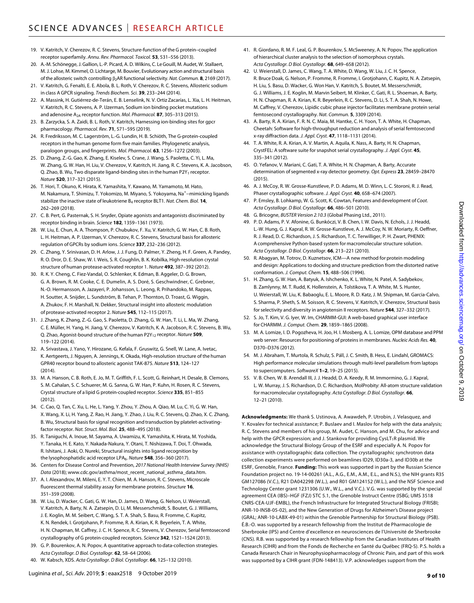- 19. V. Katritch, V. Cherezov, R. C. Stevens, Structure-function of the G protein–coupled receptor superfamily. *Annu. Rev. Pharmacol. Toxicol.* **53**, 531–556 (2013).
- 20. A.-M. Schönegge, J. Gallion, L.-P. Picard, A. D. Wilkins, C. Le Gouill, M. Audet, W. Stallaert, M. J. Lohse, M. Kimmel, O. Lichtarge, M. Bouvier, Evolutionary action and structural basis of the allosteric switch controlling β<sub>2</sub>AR functional selectivity. *Nat. Commun.* **8**, 2169 (2017).
- 21. V. Katritch, G. Fenalti, E. E. Abola, B. L. Roth, V. Cherezov, R. C. Stevens, Allosteric sodium in class A GPCR signaling. *Trends Biochem. Sci.* **39**, 233–244 (2014).
- 22. A. Massink, H. Gutiérrez-de-Terán, E. B. Lenselink, N. V. Ortiz Zacarías, L. Xia, L. H. Heitman, V. Katritch, R. C. Stevens, A. P. IJzerman, Sodium ion binding pocket mutations and adenosine A2A receptor function. *Mol. Pharmacol.* **87**, 305–313 (2015).
- 23. B. Zarzycka, S. A. Zaidi, B. L. Roth, V. Katritch, Harnessing ion-binding sites for gpcr pharmacology. *Pharmacol. Rev.* **71**, 571–595 (2019).
- 24. R. Fredriksson, M. C. Lagerström, L.-G. Lundin, H. B. Schiöth, The G-protein-coupled receptors in the human genome form five main families. Phylogenetic analysis, paralogon groups, and fingerprints. *Mol. Pharmacol.* **63**, 1256–1272 (2003).
- 25. D. Zhang, Z.-G. Gao, K. Zhang, E. Kiselev, S. Crane, J. Wang, S. Paoletta, C. Yi, L. Ma, W. Zhang, G. W. Han, H. Liu, V. Cherezov, V. Katritch, H. Jiang, R. C. Stevens, K. A. Jacobson, Q. Zhao, B. Wu, Two disparate ligand-binding sites in the human P2Y<sub>1</sub> receptor. *Nature* **520**, 317–321 (2015).
- 26. T. Hori, T. Okuno, K. Hirata, K. Yamashita, Y. Kawano, M. Yamamoto, M. Hato, M. Nakamura, T. Shimizu, T. Yokomizo, M. Miyano, S. Yokoyama, Na<sup>+</sup>–mimicking ligands stabilize the inactive state of leukotriene B4 receptor BLT1. *Nat. Chem. Biol.* **14**, 262–269 (2018).
- 27. C. B. Pert, G. Pasternak, S. H. Snyder, Opiate agonists and antagonists discriminated by receptor binding in brain. *Science* **182**, 1359–1361 (1973).
- 28. W. Liu, E. Chun, A. A. Thompson, P. Chubukov, F. Xu, V. Katritch, G. W. Han, C. B. Roth, L. H. Heitman, A. P. IJzerman, V. Cherezov, R. C. Stevens, Structural basis for allosteric regulation of GPCRs by sodium ions. *Science* **337**, 232–236 (2012).
- 29. C. Zhang, Y. Srinivasan, D. H. Arlow, J. J. Fung, D. Palmer, Y. Zheng, H. F. Green, A. Pandey, R. O. Dror, D. E. Shaw, W. I. Weis, S. R. Coughlin, B. K. Kobilka, High-resolution crystal structure of human protease-activated receptor 1. *Nature* **492**, 387–392 (2012).
- 30. R. K. Y. Cheng, C. Fiez-Vandal, O. Schlenker, K. Edman, B. Aggeler, D. G. Brown, G. A. Brown, R. M. Cooke, C. E. Dumelin, A. S. Doré, S. Geschwindner, C. Grebner, N.-O. Hermansson, A. Jazayeri, P. Johansson, L. Leong, R. Prihandoko, M. Rappas, H. Soutter, A. Snijder, L. Sundström, B. Tehan, P. Thornton, D. Troast, G. Wiggin, A. Zhukov, F. H. Marshall, N. Dekker, Structural insight into allosteric modulation of protease-activated receptor 2. *Nature* **545**, 112–115 (2017).
- 31. J. Zhang, K. Zhang, Z.-G. Gao, S. Paoletta, D. Zhang, G. W. Han, T. Li, L. Ma, W. Zhang, C. E. Müller, H. Yang, H. Jiang, V. Cherezov, V. Katritch, K. A. Jacobson, R. C. Stevens, B. Wu, Q. Zhao, Agonist-bound structure of the human P2Y12 receptor. *Nature* **509**, 119–122 (2014).
- 32. A. Srivastava, J. Yano, Y. Hirozane, G. Kefala, F. Gruswitz, G. Snell, W. Lane, A. Ivetac, K. Aertgeerts, J. Nguyen, A. Jennings, K. Okada, High-resolution structure of the human GPR40 receptor bound to allosteric agonist TAK-875. *Nature* **513**, 124–127 (2014).
- 33. M. A. Hanson, C. B. Roth, E. Jo, M. T. Griffith, F. L. Scott, G. Reinhart, H. Desale, B. Clemons, S. M. Cahalan, S. C. Schuerer, M. G. Sanna, G. W. Han, P. Kuhn, H. Rosen, R. C. Stevens, Crystal structure of a lipid G protein-coupled receptor. *Science* **335**, 851–855 (2012).
- 34. C. Cao, Q. Tan, C. Xu, L. He, L. Yang, Y. Zhou, Y. Zhou, A. Qiao, M. Lu, C. Yi, G. W. Han, X. Wang, X. Li, H. Yang, Z. Rao, H. Jiang, Y. Zhao, J. Liu, R. C. Stevens, Q. Zhao, X. C. Zhang, B. Wu, Structural basis forsignal recognition and transduction by platelet-activatingfactor receptor. *Nat. Struct. Mol. Biol.* **25**, 488–495 (2018).
- 35. R. Taniguchi, A. Inoue, M. Sayama, A. Uwamizu, K. Yamashita, K. Hirata, M. Yoshida, Y. Tanaka, H. E. Kato, Y. Nakada-Nakura, Y. Otani, T. Nishizawa, T. Doi, T. Ohwada, R. Ishitani, J. Aoki, O. Nureki, Structural insights into ligand recognition by the lysophosphatidic acid receptor LPA6. *Nature* **548**, 356–360 (2017).
- 36. Centers for Disease Control and Prevention, *2017 National Health Interview Survey (NHIS) Data* (2018); [www.cdc.gov/asthma/most\\_recent\\_national\\_asthma\\_data.htm](http://www.cdc.gov/asthma/most_recent_national_asthma_data.htm).
- 37. A. I. Alexandrov, M. Mileni, E. Y. T. Chien, M. A. Hanson, R. C. Stevens, Microscale fluorescent thermal stability assay for membrane proteins. *Structure* **16**, 351–359 (2008).
- 38. W. Liu, D. Wacker, C. Gati, G. W. Han, D. James, D. Wang, G. Nelson, U. Weierstall, V. Katritch, A. Barty, N. A. Zatsepin, D. Li, M. Messerschmidt, S. Boutet, G. J. Williams, J. E. Koglin, M. M. Seibert, C. Wang, S. T. A. Shah, S. Basu, R. Fromme, C. Kupitz, K. N. Rendek, I. Grotjohann, P. Fromme, R. A. Kirian, K. R. Beyerlein, T. A. White, H. N. Chapman, M. Caffrey, J. C. H. Spence, R. C. Stevens, V. Cherezov, Serial femtosecond crystallography of G protein-coupled receptors. *Science* **342**, 1521–1524 (2013).
- 39. G. P. Bourenkov, A. N. Popov, A quantitative approach to data-collection strategies. *Acta Crystallogr. D Biol. Crystallogr.* **62**, 58–64 (2006).
- 40. W. Kabsch, XDS. *Acta Crystallogr. D Biol. Crystallogr.* **66**, 125–132 (2010).
- 41. R. Giordano, R. M. F. Leal, G. P. Bourenkov, S. McSweeney, A. N. Popov, The application of hierarchical cluster analysis to the selection of isomorphous crystals. *Acta Crystallogr. D Biol. Crystallogr.* **68**, 649–658 (2012).
- 42. U. Weierstall, D. James, C. Wang, T. A. White, D. Wang, W. Liu, J. C. H. Spence, R. Bruce Doak, G. Nelson, P. Fromme, R. Fromme, I. Grotjohann, C. Kupitz, N. A. Zatsepin, H. Liu, S. Basu, D. Wacker, G. Won Han, V. Katritch, S. Boutet, M. Messerschmidt, G. J. Williams, J. E. Koglin, M. Marvin Seibert, M. Klinker, C. Gati, R. L. Shoeman, A. Barty, H. N. Chapman, R. A. Kirian, K. R. Beyerlein, R. C. Stevens, D. Li, S. T. A. Shah, N. Howe, M. Caffrey, V. Cherezov, Lipidic cubic phase injector facilitates membrane protein serial femtosecond crystallography. *Nat. Commun.* **5**, 3309 (2014).
- 43. A. Barty, R. A. Kirian, F. R. N. C. Maia, M. Hantke, C. H. Yoon, T. A. White, H. Chapman, Cheetah: Software for high-throughput reduction and analysis of serial femtosecond x-ray diffraction data. *J. Appl. Cryst.* **47**, 1118–1131 (2014).
- 44. T. A. White, R. A. Kirian, A. V. Martin, A. Aquila, K. Nass, A. Barty, H. N. Chapman, CrystFEL: A software suite forsnapshot serial crystallography. *J. Appl. Cryst.* **45**, 335–341 (2012).
- 45. O. Yefanov, V. Mariani, C. Gati, T. A. White, H. N. Chapman, A. Barty, Accurate determination ofsegmented x-ray detector geometry. *Opt. Express* **23**, 28459–28470 (2015).
- 46. A. J. McCoy, R. W. Grosse-Kunstleve, P. D. Adams, M. D. Winn, L. C. Storoni, R. J. Read, Phaser crystallographic software. *J. Appl. Cryst.* **40**, 658–674 (2007).
- 47. P. Emsley, B. Lohkamp, W. G. Scott, K. Cowtan, Features and development of *Coot*. *Acta Crystallogr. D Biol. Crystallogr.* **66**, 486–501 (2010).
- 48. G. Bricogne, *BUSTER Version 2.10.3* (Global Phasing Ltd., 2011).
- 49. P. D. Adams, P. V. Afonine, G. Bunkóczi, V. B. Chen, I. W. Davis, N. Echols, J. J. Headd, L.-W. Hung, G. J. Kapral, R. W. Grosse-Kunstleve, A. J. McCoy, N. W. Moriarty, R. Oeffner, R. J. Read, D. C. Richardson, J. S. Richardson, T. C. Terwilliger, P. H. Zwart, PHENIX: A comprehensive Python-based system for macromolecular structure solution. *Acta Crystallogr. D Biol. Crystallogr.* **66**, 213–221 (2010).
- 50. R. Abagyan, M. Totrov, D. Kuznetsov, ICM—A new method for protein modeling and design: Applications to docking and structure prediction from the distorted native conformation. *J. Comput. Chem.* **15**, 488–506 (1994).
- 51. H. Zhang, G. W. Han, A. Batyuk, A. Ishchenko, K. L. White, N. Patel, A. Sadybekov, B. Zamlynny, M. T. Rudd, K. Hollenstein, A. Tolstikova, T. A. White, M. S. Hunter, U. Weierstall, W. Liu, K. Babaoglu, E. L. Moore, R. D. Katz, J. M. Shipman, M. Garcia-Calvo, S. Sharma, P. Sheth, S. M. Soisson, R. C. Stevens, V. Katritch, V. Cherezov, Structural basis forselectivity and diversity in angiotensin II receptors. *Nature* **544**, 327–332 (2017).
- 52. S. Jo, T. Kim, V. G. Iyer, W. Im, CHARMM-GUI: A web-based graphical user interface for CHARMM. *J. Comput. Chem.* **29**, 1859–1865 (2008).
- 53. M. A. Lomize, I. D. Pogozheva, H. Joo, H. I. Mosberg, A. L. Lomize, OPM database and PPM web server: Resources for positioning of proteins in membranes. *Nucleic Acids Res.* **40**, D370–D376 (2012).
- 54. M. J. Abraham, T. Murtola, R. Schulz, S. Páll, J. C. Smith, B. Hess, E. Lindahl, GROMACS: High performance molecular simulations through multi-level parallelism from laptops to supercomputers. *SoftwareX* **1–2**, 19–25 (2015).
- 55. V. B. Chen, W. B. Arendall III, J. J. Headd, D. A. Keedy, R. M. Immormino, G. J. Kapral, L. W. Murray, J. S. Richardson, D. C. Richardson, MolProbity: All-atom structure validation for macromolecular crystallography. *Acta Crystallogr. D Biol. Crystallogr.* **66**, 12–21 (2010).

**Acknowledgments:** We thank S. Ustinova, A. Awawdeh, P. Utrobin, J. Velasquez, and Y. Kovalev for technical assistance; P. Buslaev and I. Maslov for help with the data analysis; R. C. Stevens and members of his group, M. Audet, C. Hanson, and M. Chu, for advice and help with the GPCR expression; and J. Stankova for providing CysLT<sub>1</sub>R plasmid. We acknowledge the Structural Biology Group of the ESRF and especially A. N. Popov for assistance with crystallographic data collection. The crystallographic synchrotron data collection experiments were performed on beamlines ID29, ID30a-3, and ID30b at the ESRF, Grenoble, France. **Funding:** This work was supported in part by the Russian Science Foundation project no. 19-14-00261 (A.L., A.G., E.M., A.M., E.L., and N.S.), the NIH grants R35 GM127086 (V.C.), R21 DA042298 (W.L.), and R01 GM124152 (W.L.), and the NSF Science and Technology Center grant 1231306 (U.W., W.L., and V.C.). V.G. was supported by the special agreement CEA (IBS)–HGF (FZJ) STC 5.1, the Grenoble Instruct Centre (ISBG; UMS 3518 CNRS-CEA-UJF-EMBL), the French Infrastructure for Integrated Structural Biology (FRISBI; ANR-10-INSB-05-02), and the New Generation of Drugs for Alzheimer's Disease project (GRAL; ANR-10-LABX-49-01) within the Grenoble Partnership for Structural Biology (PSB). É.B.-O. was supported by a research fellowship from the Institut de Pharmacologie de Sherbrooke (IPS) and Centre d'excellence en neurosciences de l'Université de Sherbrooke (CNS). R.B. was supported by a research fellowship from the Canadian Institutes of Health Research (CIHR) and from the Fonds de Recherche en Santé du Québec (FRQ-S). P.S. holds a Canada Research Chair in Neurophysiopharmacology of Chronic Pain, and part of this work was supported by a CIHR grant (FDN-148413). V.P. acknowledges support from the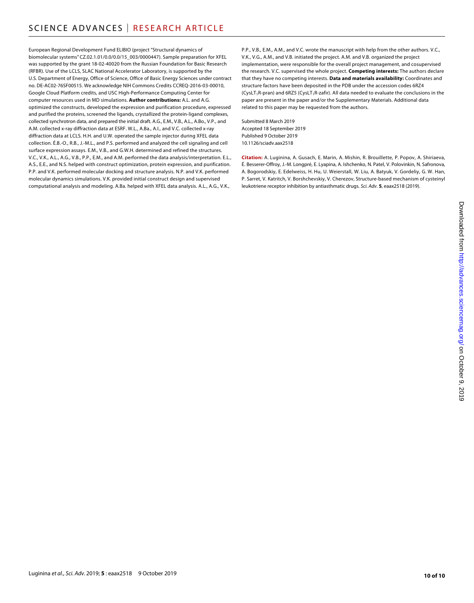European Regional Development Fund ELIBIO (project "Structural dynamics of biomolecular systems" CZ.02.1.01/0.0/0.0/15\_003/0000447). Sample preparation for XFEL was supported by the grant 18-02-40020 from the Russian Foundation for Basic Research (RFBR). Use of the LCLS, SLAC National Accelerator Laboratory, is supported by the U.S. Department of Energy, Office of Science, Office of Basic Energy Sciences under contract no. DE-AC02-76SF00515. We acknowledge NIH Commons Credits CCREQ-2016-03-00010, Google Cloud Platform credits, and USC High-Performance Computing Center for computer resources used in MD simulations. **Author contributions:** A.L. and A.G. optimized the constructs, developed the expression and purification procedure, expressed and purified the proteins, screened the ligands, crystallized the protein-ligand complexes, collected synchrotron data, and prepared the initial draft. A.G., E.M., V.B., A.L., A.Bo., V.P., and A.M. collected x-ray diffraction data at ESRF. W.L., A.Ba., A.I., and V.C. collected x-ray diffraction data at LCLS. H.H. and U.W. operated the sample injector during XFEL data collection. É.B.-O., R.B., J.-M.L., and P.S. performed and analyzed the cell signaling and cell surface expression assays. E.M., V.B., and G.W.H. determined and refined the structures. V.C., V.K., A.L., A.G., V.B., P.P., E.M., and A.M. performed the data analysis/interpretation. E.L., A.S., E.E., and N.S. helped with construct optimization, protein expression, and purification. P.P. and V.K. performed molecular docking and structure analysis. N.P. and V.K. performed molecular dynamics simulations. V.K. provided initial construct design and supervised computational analysis and modeling. A.Ba. helped with XFEL data analysis. A.L., A.G., V.K.,

P.P., V.B., E.M., A.M., and V.C. wrote the manuscript with help from the other authors. V.C., V.K., V.G., A.M., and V.B. initiated the project. A.M. and V.B. organized the project implementation, were responsible for the overall project management, and cosupervised the research. V.C. supervised the whole project. **Competing interests:** The authors declare that they have no competing interests. **Data and materials availability:** Coordinates and structure factors have been deposited in the PDB under the accession codes 6RZ4 (CysLT<sub>1</sub>R-pran) and 6RZ5 (CysLT<sub>1</sub>R-zafir). All data needed to evaluate the conclusions in the paper are present in the paper and/or the Supplementary Materials. Additional data related to this paper may be requested from the authors.

Submitted 8 March 2019 Accepted 18 September 2019 Published 9 October 2019 10.1126/sciadv.aax2518

**Citation:** A. Luginina, A. Gusach, E. Marin, A. Mishin, R. Brouillette, P. Popov, A. Shiriaeva, É. Besserer-Offroy, J.-M. Longpré, E. Lyapina, A. Ishchenko, N. Patel, V. Polovinkin, N. Safronova, A. Bogorodskiy, E. Edelweiss, H. Hu, U. Weierstall, W. Liu, A. Batyuk, V. Gordeliy, G. W. Han, P. Sarret, V. Katritch, V. Borshchevskiy, V. Cherezov, Structure-based mechanism of cysteinyl leukotriene receptor inhibition by antiasthmatic drugs. *Sci. Adv.* **5**, eaax2518 (2019).